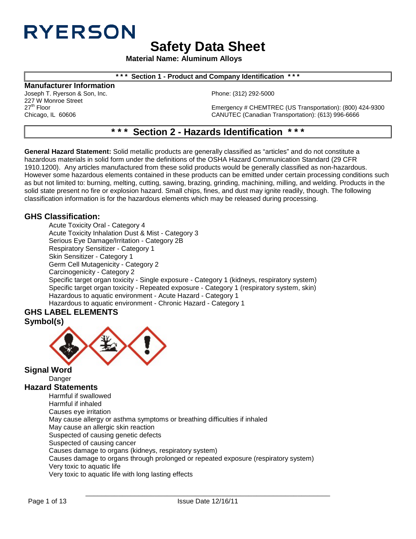# **RYERSON**

**Safety Data Sheet**

**Material Name: Aluminum Alloys**

## **\* \* \* Section 1 - Product and Company Identification \* \* \***

**Manufacturer Information**

227 W Monroe Street<br>27<sup>th</sup> Floor

Joseph T. Ryerson & Son, Inc. **Phone: (312) 292-5000** Phone: (312) 292-5000

27<sup>th</sup> Floor 27<sup>th</sup> Floor Emergency # CHEMTREC (US Transportation): (800) 424-9300<br>CANUTEC (Canadian Transportation): (613) 996-6666 CANUTEC (Canadian Transportation): (613) 996-6666

## **\* \* \* Section 2 - Hazards Identification \* \* \***

**General Hazard Statement:** Solid metallic products are generally classified as "articles" and do not constitute a hazardous materials in solid form under the definitions of the OSHA Hazard Communication Standard (29 CFR 1910.1200). Any articles manufactured from these solid products would be generally classified as non-hazardous. However some hazardous elements contained in these products can be emitted under certain processing conditions such as but not limited to: burning, melting, cutting, sawing, brazing, grinding, machining, milling, and welding. Products in the solid state present no fire or explosion hazard. Small chips, fines, and dust may ignite readily, though. The following classification information is for the hazardous elements which may be released during processing.

## **GHS Classification:**

Acute Toxicity Oral - Category 4 Acute Toxicity Inhalation Dust & Mist - Category 3 Serious Eye Damage/Irritation - Category 2B Respiratory Sensitizer - Category 1 Skin Sensitizer - Category 1 Germ Cell Mutagenicity - Category 2 Carcinogenicity - Category 2 Specific target organ toxicity - Single exposure - Category 1 (kidneys, respiratory system) Specific target organ toxicity - Repeated exposure - Category 1 (respiratory system, skin) Hazardous to aquatic environment - Acute Hazard - Category 1 Hazardous to aquatic environment - Chronic Hazard - Category 1

## **GHS LABEL ELEMENTS Symbol(s)**



**Signal Word** Danger **Hazard Statements**

Harmful if swallowed Harmful if inhaled Causes eye irritation May cause allergy or asthma symptoms or breathing difficulties if inhaled May cause an allergic skin reaction Suspected of causing genetic defects Suspected of causing cancer Causes damage to organs (kidneys, respiratory system) Causes damage to organs through prolonged or repeated exposure (respiratory system) Very toxic to aquatic life Very toxic to aquatic life with long lasting effects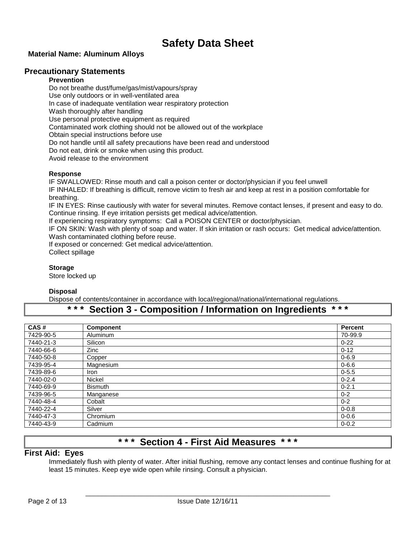## **Material Name: Aluminum Alloys**

## **Precautionary Statements**

### **Prevention**

Do not breathe dust/fume/gas/mist/vapours/spray Use only outdoors or in well-ventilated area In case of inadequate ventilation wear respiratory protection Wash thoroughly after handling Use personal protective equipment as required Contaminated work clothing should not be allowed out of the workplace Obtain special instructions before use Do not handle until all safety precautions have been read and understood Do not eat, drink or smoke when using this product. Avoid release to the environment

### **Response**

IF SWALLOWED: Rinse mouth and call a poison center or doctor/physician if you feel unwell

IF INHALED: If breathing is difficult, remove victim to fresh air and keep at rest in a position comfortable for breathing.

IF IN EYES: Rinse cautiously with water for several minutes. Remove contact lenses, if present and easy to do. Continue rinsing. If eye irritation persists get medical advice/attention.

If experiencing respiratory symptoms: Call a POISON CENTER or doctor/physician.

IF ON SKIN: Wash with plenty of soap and water. If skin irritation or rash occurs: Get medical advice/attention. Wash contaminated clothing before reuse.

If exposed or concerned: Get medical advice/attention.

Collect spillage

### **Storage**

Store locked up

## **Disposal**

Dispose of contents/container in accordance with local/regional/national/international regulations.

## **\* \* \* Section 3 - Composition / Information on Ingredients \* \* \***

| CAS#      | <b>Component</b> | <b>Percent</b> |
|-----------|------------------|----------------|
| 7429-90-5 | Aluminum         | 70-99.9        |
| 7440-21-3 | Silicon          | $0 - 22$       |
| 7440-66-6 | Zinc             | $0 - 12$       |
| 7440-50-8 | Copper           | $0 - 6.9$      |
| 7439-95-4 | Magnesium        | $0 - 6.6$      |
| 7439-89-6 | <b>Iron</b>      | $0 - 5.5$      |
| 7440-02-0 | <b>Nickel</b>    | $0 - 2.4$      |
| 7440-69-9 | <b>Bismuth</b>   | $0 - 2.1$      |
| 7439-96-5 | Manganese        | $0 - 2$        |
| 7440-48-4 | Cobalt           | $0 - 2$        |
| 7440-22-4 | Silver           | $0 - 0.8$      |
| 7440-47-3 | Chromium         | $0 - 0.6$      |
| 7440-43-9 | Cadmium          | $0 - 0.2$      |

## **\* \* \* Section 4 - First Aid Measures \* \* \***

## **First Aid: Eyes**

Immediately flush with plenty of water. After initial flushing, remove any contact lenses and continue flushing for at least 15 minutes. Keep eye wide open while rinsing. Consult a physician.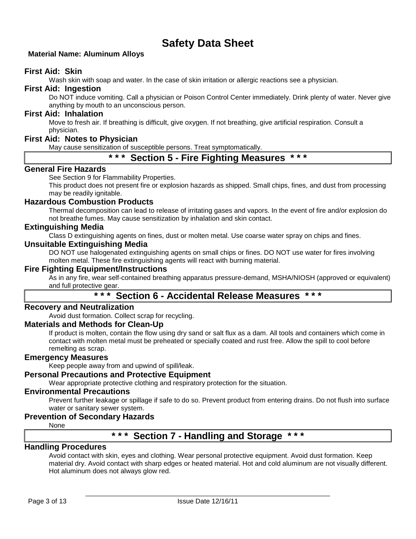## **Material Name: Aluminum Alloys**

## **First Aid: Skin**

Wash skin with soap and water. In the case of skin irritation or allergic reactions see a physician.

## **First Aid: Ingestion**

Do NOT induce vomiting. Call a physician or Poison Control Center immediately. Drink plenty of water. Never give anything by mouth to an unconscious person.

## **First Aid: Inhalation**

Move to fresh air. If breathing is difficult, give oxygen. If not breathing, give artificial respiration. Consult a physician.

## **First Aid: Notes to Physician**

May cause sensitization of susceptible persons. Treat symptomatically.

## **\* \* \* Section 5 - Fire Fighting Measures \* \* \***

## **General Fire Hazards**

See Section 9 for Flammability Properties.

This product does not present fire or explosion hazards as shipped. Small chips, fines, and dust from processing may be readily ignitable.

## **Hazardous Combustion Products**

Thermal decomposition can lead to release of irritating gases and vapors. In the event of fire and/or explosion do not breathe fumes. May cause sensitization by inhalation and skin contact.

## **Extinguishing Media**

Class D extinguishing agents on fines, dust or molten metal. Use coarse water spray on chips and fines.

### **Unsuitable Extinguishing Media**

DO NOT use halogenated extinguishing agents on small chips or fines. DO NOT use water for fires involving molten metal. These fire extinguishing agents will react with burning material.

## **Fire Fighting Equipment/Instructions**

As in any fire, wear self-contained breathing apparatus pressure-demand, MSHA/NIOSH (approved or equivalent) and full protective gear.

## **\* \* \* Section 6 - Accidental Release Measures \* \* \***

## **Recovery and Neutralization**

Avoid dust formation. Collect scrap for recycling.

## **Materials and Methods for Clean-Up**

If product is molten, contain the flow using dry sand or salt flux as a dam. All tools and containers which come in contact with molten metal must be preheated or specially coated and rust free. Allow the spill to cool before remelting as scrap.

## **Emergency Measures**

Keep people away from and upwind of spill/leak.

## **Personal Precautions and Protective Equipment**

Wear appropriate protective clothing and respiratory protection for the situation.

## **Environmental Precautions**

Prevent further leakage or spillage if safe to do so. Prevent product from entering drains. Do not flush into surface water or sanitary sewer system.

## **Prevention of Secondary Hazards**

None

## **\* \* \* Section 7 - Handling and Storage \* \* \***

## **Handling Procedures**

Avoid contact with skin, eyes and clothing. Wear personal protective equipment. Avoid dust formation. Keep material dry. Avoid contact with sharp edges or heated material. Hot and cold aluminum are not visually different. Hot aluminum does not always glow red.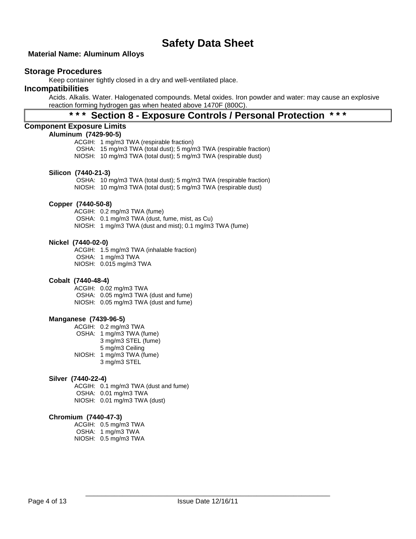## **Material Name: Aluminum Alloys**

## **Storage Procedures**

Keep container tightly closed in a dry and well-ventilated place.

## **Incompatibilities**

Acids. Alkalis. Water. Halogenated compounds. Metal oxides. Iron powder and water: may cause an explosive reaction forming hydrogen gas when heated above 1470F (800C).

## **\* \* \* Section 8 - Exposure Controls / Personal Protection \* \* \***

### **Component Exposure Limits**

## **Aluminum (7429-90-5)**

ACGIH: 1 mg/m3 TWA (respirable fraction) OSHA: 15 mg/m3 TWA (total dust); 5 mg/m3 TWA (respirable fraction) NIOSH: 10 mg/m3 TWA (total dust); 5 mg/m3 TWA (respirable dust)

#### **Silicon (7440-21-3)**

OSHA: 10 mg/m3 TWA (total dust); 5 mg/m3 TWA (respirable fraction) NIOSH: 10 mg/m3 TWA (total dust); 5 mg/m3 TWA (respirable dust)

## **Copper (7440-50-8)**

ACGIH: 0.2 mg/m3 TWA (fume) OSHA: 0.1 mg/m3 TWA (dust, fume, mist, as Cu) NIOSH: 1 mg/m3 TWA (dust and mist); 0.1 mg/m3 TWA (fume)

#### **Nickel (7440-02-0)**

ACGIH: 1.5 mg/m3 TWA (inhalable fraction) OSHA: 1 mg/m3 TWA NIOSH: 0.015 mg/m3 TWA

#### **Cobalt (7440-48-4)**

ACGIH: 0.02 mg/m3 TWA OSHA: 0.05 mg/m3 TWA (dust and fume) NIOSH: 0.05 mg/m3 TWA (dust and fume)

#### **Manganese (7439-96-5)**

ACGIH: 0.2 mg/m3 TWA

- OSHA: 1 mg/m3 TWA (fume)
	- 3 mg/m3 STEL (fume)
	- 5 mg/m3 Ceiling
- NIOSH: 1 mg/m3 TWA (fume) 3 mg/m3 STEL
- 

### **Silver (7440-22-4)**

ACGIH: 0.1 mg/m3 TWA (dust and fume) OSHA: 0.01 mg/m3 TWA NIOSH: 0.01 mg/m3 TWA (dust)

#### **Chromium (7440-47-3)**

ACGIH: 0.5 mg/m3 TWA OSHA: 1 mg/m3 TWA NIOSH: 0.5 mg/m3 TWA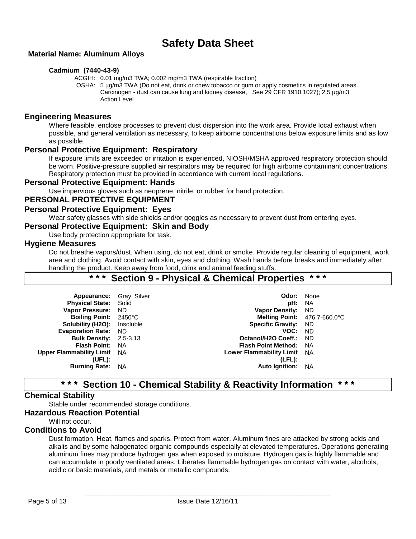## **Material Name: Aluminum Alloys**

## **Cadmium (7440-43-9)**

ACGIH: 0.01 mg/m3 TWA; 0.002 mg/m3 TWA (respirable fraction)

OSHA: 5 µg/m3 TWA (Do not eat, drink or chew tobacco or gum or apply cosmetics in regulated areas. Carcinogen - dust can cause lung and kidney disease, See 29 CFR 1910.1027); 2.5 µg/m3 Action Level

## **Engineering Measures**

Where feasible, enclose processes to prevent dust dispersion into the work area. Provide local exhaust when possible, and general ventilation as necessary, to keep airborne concentrations below exposure limits and as low as possible.

## **Personal Protective Equipment: Respiratory**

If exposure limits are exceeded or irritation is experienced, NIOSH/MSHA approved respiratory protection should be worn. Positive-pressure supplied air respirators may be required for high airborne contaminant concentrations. Respiratory protection must be provided in accordance with current local regulations.

## **Personal Protective Equipment: Hands**

Use impervious gloves such as neoprene, nitrile, or rubber for hand protection.

## **PERSONAL PROTECTIVE EQUIPMENT**

## **Personal Protective Equipment: Eyes**

Wear safety glasses with side shields and/or goggles as necessary to prevent dust from entering eyes.

## **Personal Protective Equipment: Skin and Body**

Use body protection appropriate for task.

## **Hygiene Measures**

Do not breathe vapors/dust. When using, do not eat, drink or smoke. Provide regular cleaning of equipment, work area and clothing. Avoid contact with skin, eyes and clothing. Wash hands before breaks and immediately after handling the product. Keep away from food, drink and animal feeding stuffs.

## **\* \* \* Section 9 - Physical & Chemical Properties \* \* \***

| Appearance: Gray, Silver           |           | Odor:                           | None      |
|------------------------------------|-----------|---------------------------------|-----------|
| <b>Physical State: Solid</b>       |           | pH:                             | <b>NA</b> |
| <b>Vapor Pressure:</b>             | ND.       | <b>Vapor Density:</b>           | ND.       |
| Boiling Point: 2450°C              |           | Melting Point: 476.7-660.0°C    |           |
| Solubility (H2O):                  | Insoluble | <b>Specific Gravity: ND</b>     |           |
| <b>Evaporation Rate:</b>           | ND.       | VOC:                            | <b>ND</b> |
| <b>Bulk Density: 2.5-3.13</b>      |           | Octanol/H2O Coeff.: ND          |           |
| <b>Flash Point:</b>                | - NA      | <b>Flash Point Method:</b>      | - NA      |
| <b>Upper Flammability Limit</b> NA |           | <b>Lower Flammability Limit</b> | NA        |
| (UFL):                             |           | $(LFL)$ :                       |           |
| <b>Burning Rate:</b>               | - NA      | <b>Auto Ignition:</b>           | <b>NA</b> |
|                                    |           |                                 |           |

## **\* \* \* Section 10 - Chemical Stability & Reactivity Information \* \* \***

## **Chemical Stability**

Stable under recommended storage conditions.

**Hazardous Reaction Potential**

Will not occur

## **Conditions to Avoid**

Dust formation. Heat, flames and sparks. Protect from water. Aluminum fines are attacked by strong acids and alkalis and by some halogenated organic compounds especially at elevated temperatures. Operations generating aluminum fines may produce hydrogen gas when exposed to moisture. Hydrogen gas is highly flammable and can accumulate in poorly ventilated areas. Liberates flammable hydrogen gas on contact with water, alcohols, acidic or basic materials, and metals or metallic compounds.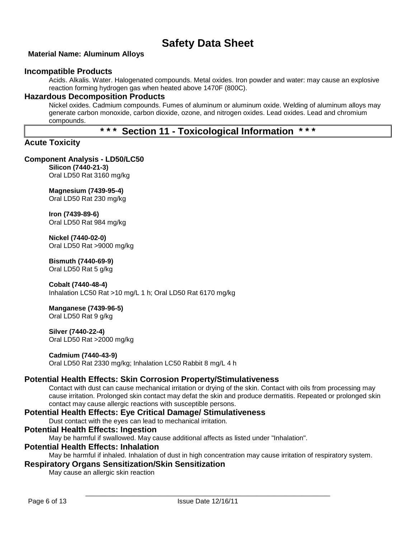## **Material Name: Aluminum Alloys**

## **Incompatible Products**

Acids. Alkalis. Water. Halogenated compounds. Metal oxides. Iron powder and water: may cause an explosive reaction forming hydrogen gas when heated above 1470F (800C).

## **Hazardous Decomposition Products**

Nickel oxides. Cadmium compounds. Fumes of aluminum or aluminum oxide. Welding of aluminum alloys may generate carbon monoxide, carbon dioxide, ozone, and nitrogen oxides. Lead oxides. Lead and chromium compounds.

## **\* \* \* Section 11 - Toxicological Information \* \* \***

## **Acute Toxicity**

## **Component Analysis - LD50/LC50**

**Silicon (7440-21-3)** Oral LD50 Rat 3160 mg/kg

## **Magnesium (7439-95-4)**

Oral LD50 Rat 230 mg/kg

## **Iron (7439-89-6)**

Oral LD50 Rat 984 mg/kg

## **Nickel (7440-02-0)**

Oral LD50 Rat >9000 mg/kg

## **Bismuth (7440-69-9)**

Oral LD50 Rat 5 g/kg

## **Cobalt (7440-48-4)**

Inhalation LC50 Rat >10 mg/L 1 h; Oral LD50 Rat 6170 mg/kg

## **Manganese (7439-96-5)**

Oral LD50 Rat 9 g/kg

#### **Silver (7440-22-4)** Oral LD50 Rat >2000 mg/kg

## **Cadmium (7440-43-9)**

Oral LD50 Rat 2330 mg/kg; Inhalation LC50 Rabbit 8 mg/L 4 h

## **Potential Health Effects: Skin Corrosion Property/Stimulativeness**

Contact with dust can cause mechanical irritation or drying of the skin. Contact with oils from processing may cause irritation. Prolonged skin contact may defat the skin and produce dermatitis. Repeated or prolonged skin contact may cause allergic reactions with susceptible persons.

## **Potential Health Effects: Eye Critical Damage/ Stimulativeness**

Dust contact with the eyes can lead to mechanical irritation.

## **Potential Health Effects: Ingestion**

May be harmful if swallowed. May cause additional affects as listed under "Inhalation".

## **Potential Health Effects: Inhalation**

May be harmful if inhaled. Inhalation of dust in high concentration may cause irritation of respiratory system.

## **Respiratory Organs Sensitization/Skin Sensitization**

May cause an allergic skin reaction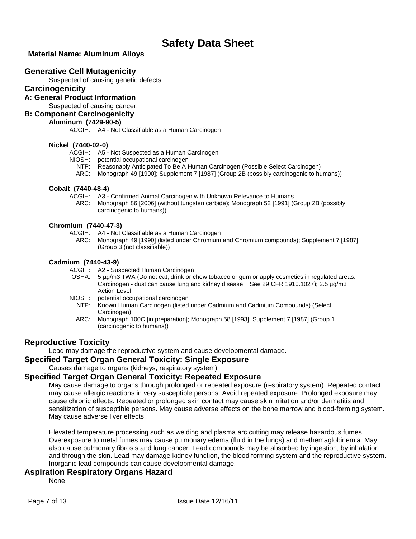## **Material Name: Aluminum Alloys**

## **Generative Cell Mutagenicity**

Suspected of causing genetic defects

## **Carcinogenicity**

**A: General Product Information**

Suspected of causing cancer.

## **B: Component Carcinogenicity**

## **Aluminum (7429-90-5)**

ACGIH: A4 - Not Classifiable as a Human Carcinogen

### **Nickel (7440-02-0)**

ACGIH: A5 - Not Suspected as a Human Carcinogen

- NIOSH: potential occupational carcinogen
	- NTP: Reasonably Anticipated To Be A Human Carcinogen (Possible Select Carcinogen)
- IARC: Monograph 49 [1990]; Supplement 7 [1987] (Group 2B (possibly carcinogenic to humans))

## **Cobalt (7440-48-4)**

- ACGIH: A3 Confirmed Animal Carcinogen with Unknown Relevance to Humans
- IARC: Monograph 86 [2006] (without tungsten carbide); Monograph 52 [1991] (Group 2B (possibly carcinogenic to humans))

### **Chromium (7440-47-3)**

- ACGIH: A4 Not Classifiable as a Human Carcinogen
- IARC: Monograph 49 [1990] (listed under Chromium and Chromium compounds); Supplement 7 [1987] (Group 3 (not classifiable))

## **Cadmium (7440-43-9)**

- ACGIH: A2 Suspected Human Carcinogen
	- OSHA: 5 µg/m3 TWA (Do not eat, drink or chew tobacco or gum or apply cosmetics in regulated areas. Carcinogen - dust can cause lung and kidney disease, See 29 CFR 1910.1027); 2.5 µg/m3 Action Level
- NIOSH: potential occupational carcinogen
	- NTP: Known Human Carcinogen (listed under Cadmium and Cadmium Compounds) (Select Carcinogen)
	- IARC: Monograph 100C [in preparation]; Monograph 58 [1993]; Supplement 7 [1987] (Group 1 (carcinogenic to humans))

## **Reproductive Toxicity**

Lead may damage the reproductive system and cause developmental damage.

## **Specified Target Organ General Toxicity: Single Exposure**

Causes damage to organs (kidneys, respiratory system)

## **Specified Target Organ General Toxicity: Repeated Exposure**

May cause damage to organs through prolonged or repeated exposure (respiratory system). Repeated contact may cause allergic reactions in very susceptible persons. Avoid repeated exposure. Prolonged exposure may cause chronic effects. Repeated or prolonged skin contact may cause skin irritation and/or dermatitis and sensitization of susceptible persons. May cause adverse effects on the bone marrow and blood-forming system. May cause adverse liver effects.

Elevated temperature processing such as welding and plasma arc cutting may release hazardous fumes. Overexposure to metal fumes may cause pulmonary edema (fluid in the lungs) and methemaglobinemia. May also cause pulmonary fibrosis and lung cancer. Lead compounds may be absorbed by ingestion, by inhalation and through the skin. Lead may damage kidney function, the blood forming system and the reproductive system. Inorganic lead compounds can cause developmental damage.

## **Aspiration Respiratory Organs Hazard**

None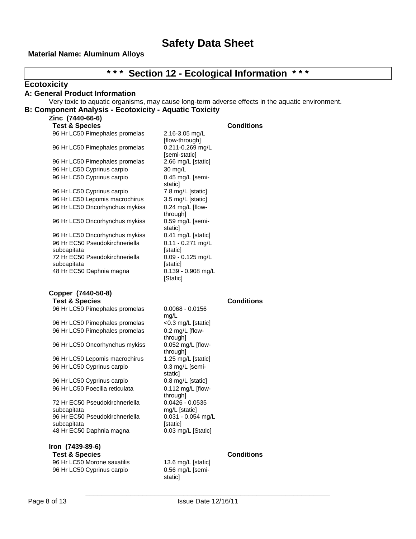## **Material Name: Aluminum Alloys**

| * * *                                                         |                                   | * * *<br><b>Section 12 - Ecological Information</b>                                              |
|---------------------------------------------------------------|-----------------------------------|--------------------------------------------------------------------------------------------------|
| <b>Ecotoxicity</b>                                            |                                   |                                                                                                  |
| A: General Product Information                                |                                   |                                                                                                  |
|                                                               |                                   | Very toxic to aquatic organisms, may cause long-term adverse effects in the aquatic environment. |
| <b>B: Component Analysis - Ecotoxicity - Aquatic Toxicity</b> |                                   |                                                                                                  |
| Zinc (7440-66-6)                                              |                                   |                                                                                                  |
| <b>Test &amp; Species</b>                                     |                                   | <b>Conditions</b>                                                                                |
| 96 Hr LC50 Pimephales promelas                                | 2.16-3.05 mg/L                    |                                                                                                  |
|                                                               | [flow-through]                    |                                                                                                  |
| 96 Hr LC50 Pimephales promelas                                | 0.211-0.269 mg/L<br>[semi-static] |                                                                                                  |
| 96 Hr LC50 Pimephales promelas                                | 2.66 mg/L [static]                |                                                                                                  |
| 96 Hr LC50 Cyprinus carpio                                    | 30 mg/L                           |                                                                                                  |
| 96 Hr LC50 Cyprinus carpio                                    | 0.45 mg/L [semi-                  |                                                                                                  |
|                                                               | static]                           |                                                                                                  |
| 96 Hr LC50 Cyprinus carpio                                    | 7.8 mg/L [static]                 |                                                                                                  |
| 96 Hr LC50 Lepomis macrochirus                                | 3.5 mg/L [static]                 |                                                                                                  |
| 96 Hr LC50 Oncorhynchus mykiss                                | $0.24$ mg/L [flow-                |                                                                                                  |
|                                                               | through]                          |                                                                                                  |
| 96 Hr LC50 Oncorhynchus mykiss                                | 0.59 mg/L [semi-                  |                                                                                                  |
| 96 Hr LC50 Oncorhynchus mykiss                                | static]<br>0.41 mg/L [static]     |                                                                                                  |
| 96 Hr EC50 Pseudokirchneriella                                | $0.11 - 0.271$ mg/L               |                                                                                                  |
| subcapitata                                                   | [static]                          |                                                                                                  |
| 72 Hr EC50 Pseudokirchneriella                                | $0.09 - 0.125$ mg/L               |                                                                                                  |
| subcapitata                                                   | [static]                          |                                                                                                  |
| 48 Hr EC50 Daphnia magna                                      | 0.139 - 0.908 mg/L                |                                                                                                  |
|                                                               | [Static]                          |                                                                                                  |
| Copper (7440-50-8)                                            |                                   |                                                                                                  |
| <b>Test &amp; Species</b>                                     |                                   | <b>Conditions</b>                                                                                |
| 96 Hr LC50 Pimephales promelas                                | $0.0068 - 0.0156$                 |                                                                                                  |
|                                                               | mg/L                              |                                                                                                  |
| 96 Hr LC50 Pimephales promelas                                | <0.3 mg/L [static]                |                                                                                                  |
| 96 Hr LC50 Pimephales promelas                                | 0.2 mg/L [flow-<br>through]       |                                                                                                  |
| 96 Hr LC50 Oncorhynchus mykiss                                | 0.052 mg/L [flow-                 |                                                                                                  |
|                                                               | through]                          |                                                                                                  |
| 96 Hr LC50 Lepomis macrochirus                                | 1.25 mg/L [static]                |                                                                                                  |
| 96 Hr LC50 Cyprinus carpio                                    | 0.3 mg/L [semi-                   |                                                                                                  |
|                                                               | static]                           |                                                                                                  |
| 96 Hr LC50 Cyprinus carpio                                    | 0.8 mg/L [static]                 |                                                                                                  |
| 96 Hr LC50 Poecilia reticulata                                | $0.112$ mg/L [flow-               |                                                                                                  |
| 72 Hr EC50 Pseudokirchneriella                                | through]<br>$0.0426 - 0.0535$     |                                                                                                  |
| subcapitata                                                   | mg/L [static]                     |                                                                                                  |
| 96 Hr EC50 Pseudokirchneriella                                | $0.031 - 0.054$ mg/L              |                                                                                                  |
| subcapitata                                                   | [static]                          |                                                                                                  |
| 48 Hr EC50 Daphnia magna                                      | 0.03 mg/L [Static]                |                                                                                                  |
| Iron (7439-89-6)                                              |                                   |                                                                                                  |
| <b>Test &amp; Species</b>                                     |                                   | <b>Conditions</b>                                                                                |
| 96 Hr LC50 Morone saxatilis                                   | 13.6 mg/L [static]                |                                                                                                  |
| 96 Hr LC50 Cyprinus carpio                                    | 0.56 mg/L [semi-                  |                                                                                                  |

static]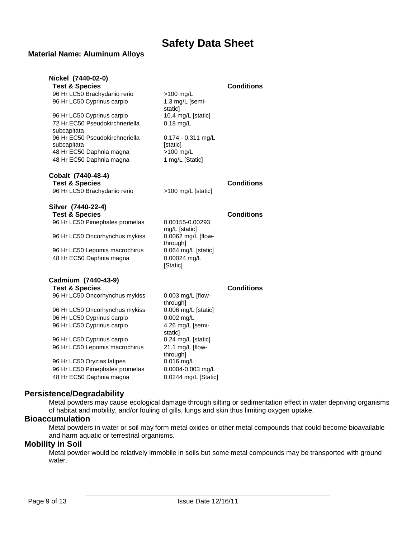## **Material Name: Aluminum Alloys**

| Nickel (7440-02-0)                            |                                  |                   |
|-----------------------------------------------|----------------------------------|-------------------|
| <b>Test &amp; Species</b>                     |                                  | <b>Conditions</b> |
| 96 Hr LC50 Brachydanio rerio                  | $>100$ mg/L                      |                   |
| 96 Hr LC50 Cyprinus carpio                    | 1.3 mg/L [semi-<br>staticl       |                   |
| 96 Hr LC50 Cyprinus carpio                    | 10.4 mg/L [static]               |                   |
| 72 Hr EC50 Pseudokirchneriella<br>subcapitata | $0.18$ mg/L                      |                   |
| 96 Hr EC50 Pseudokirchneriella                | 0.174 - 0.311 mg/L               |                   |
| subcapitata                                   | [static]                         |                   |
| 48 Hr EC50 Daphnia magna                      | >100 mg/L                        |                   |
| 48 Hr EC50 Daphnia magna                      | 1 mg/L [Static]                  |                   |
| Cobalt (7440-48-4)                            |                                  | <b>Conditions</b> |
| <b>Test &amp; Species</b>                     |                                  |                   |
| 96 Hr LC50 Brachydanio rerio                  | >100 mg/L [static]               |                   |
| Silver (7440-22-4)                            |                                  |                   |
| <b>Test &amp; Species</b>                     |                                  | <b>Conditions</b> |
| 96 Hr LC50 Pimephales promelas                | 0.00155-0.00293<br>mg/L [static] |                   |
| 96 Hr LC50 Oncorhynchus mykiss                | 0.0062 mg/L [flow-<br>through]   |                   |
| 96 Hr LC50 Lepomis macrochirus                | 0.064 mg/L [static]              |                   |
| 48 Hr EC50 Daphnia magna                      | 0.00024 mg/L<br>[Static]         |                   |
| Cadmium (7440-43-9)                           |                                  |                   |
| <b>Test &amp; Species</b>                     |                                  | <b>Conditions</b> |
| 96 Hr LC50 Oncorhynchus mykiss                | 0.003 mg/L [flow-<br>through]    |                   |
| 96 Hr LC50 Oncorhynchus mykiss                | 0.006 mg/L [static]              |                   |
| 96 Hr LC50 Cyprinus carpio                    | 0.002 mg/L                       |                   |
| 96 Hr LC50 Cyprinus carpio                    | 4.26 mg/L [semi-<br>staticl      |                   |
| 96 Hr LC50 Cyprinus carpio                    | 0.24 mg/L [static]               |                   |
| 96 Hr LC50 Lepomis macrochirus                | 21.1 mg/L [flow-<br>through]     |                   |
| 96 Hr LC50 Oryzias latipes                    | $0.016$ mg/L                     |                   |
| 96 Hr LC50 Pimephales promelas                | 0.0004-0.003 mg/L                |                   |
| 48 Hr EC50 Daphnia magna                      | 0.0244 mg/L [Static]             |                   |

## **Persistence/Degradability**

Metal powders may cause ecological damage through silting or sedimentation effect in water depriving organisms of habitat and mobility, and/or fouling of gills, lungs and skin thus limiting oxygen uptake.

## **Bioaccumulation**

Metal powders in water or soil may form metal oxides or other metal compounds that could become bioavailable and harm aquatic or terrestrial organisms.

## **Mobility in Soil**

Metal powder would be relatively immobile in soils but some metal compounds may be transported with ground water.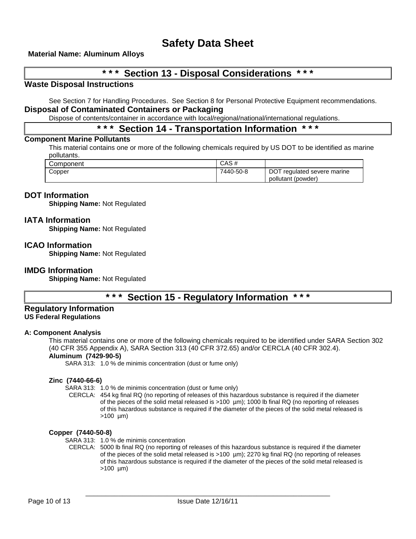## **Material Name: Aluminum Alloys**

## **\* \* \* Section 13 - Disposal Considerations \* \* \***

## **Waste Disposal Instructions**

See Section 7 for Handling Procedures. See Section 8 for Personal Protective Equipment recommendations. **Disposal of Contaminated Containers or Packaging**

Dispose of contents/container in accordance with local/regional/national/international regulations.

## **\* \* \* Section 14 - Transportation Information \* \* \***

## **Component Marine Pollutants**

This material contains one or more of the following chemicals required by US DOT to be identified as marine pollutants.

| Component | CAS#      |                                                   |
|-----------|-----------|---------------------------------------------------|
| Copper    | 7440-50-8 | DOT regulated severe marine<br>pollutant (powder) |

## **DOT Information**

**Shipping Name:** Not Regulated

### **IATA Information**

**Shipping Name:** Not Regulated

#### **ICAO Information**

**Shipping Name:** Not Regulated

#### **IMDG Information**

**Shipping Name:** Not Regulated

## **\* \* \* Section 15 - Regulatory Information \* \* \***

#### **Regulatory Information US Federal Regulations**

#### **A: Component Analysis**

This material contains one or more of the following chemicals required to be identified under SARA Section 302 (40 CFR 355 Appendix A), SARA Section 313 (40 CFR 372.65) and/or CERCLA (40 CFR 302.4).

## **Aluminum (7429-90-5)**

SARA 313: 1.0 % de minimis concentration (dust or fume only)

#### **Zinc (7440-66-6)**

SARA 313: 1.0 % de minimis concentration (dust or fume only)

CERCLA: 454 kg final RQ (no reporting of releases of this hazardous substance is required if the diameter of the pieces of the solid metal released is >100 µm); 1000 lb final RQ (no reporting of releases of this hazardous substance is required if the diameter of the pieces of the solid metal released is >100 µm)

#### **Copper (7440-50-8)**

SARA 313: 1.0 % de minimis concentration

CERCLA: 5000 lb final RQ (no reporting of releases of this hazardous substance is required if the diameter of the pieces of the solid metal released is >100 µm); 2270 kg final RQ (no reporting of releases of this hazardous substance is required if the diameter of the pieces of the solid metal released is  $>100 \mu m$ )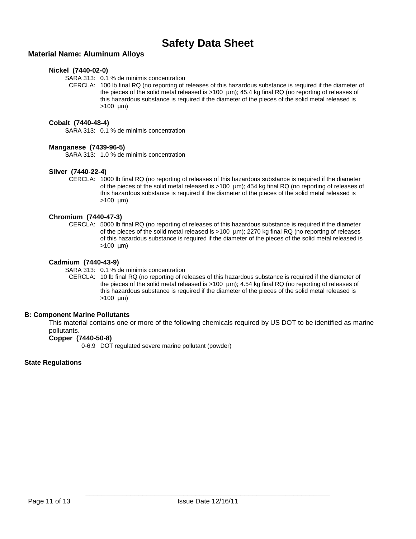## **Material Name: Aluminum Alloys**

### **Nickel (7440-02-0)**

SARA 313: 0.1 % de minimis concentration

CERCLA: 100 lb final RQ (no reporting of releases of this hazardous substance is required if the diameter of the pieces of the solid metal released is >100 µm); 45.4 kg final RQ (no reporting of releases of this hazardous substance is required if the diameter of the pieces of the solid metal released is  $>100$  um)

### **Cobalt (7440-48-4)**

SARA 313: 0.1 % de minimis concentration

#### **Manganese (7439-96-5)**

SARA 313: 1.0 % de minimis concentration

### **Silver (7440-22-4)**

CERCLA: 1000 lb final RQ (no reporting of releases of this hazardous substance is required if the diameter of the pieces of the solid metal released is >100 µm); 454 kg final RQ (no reporting of releases of this hazardous substance is required if the diameter of the pieces of the solid metal released is  $>100 \text{ µm}$ 

### **Chromium (7440-47-3)**

CERCLA: 5000 lb final RQ (no reporting of releases of this hazardous substance is required if the diameter of the pieces of the solid metal released is >100 µm); 2270 kg final RQ (no reporting of releases of this hazardous substance is required if the diameter of the pieces of the solid metal released is  $>100 \text{ µm}$ 

### **Cadmium (7440-43-9)**

SARA 313: 0.1 % de minimis concentration

CERCLA: 10 lb final RQ (no reporting of releases of this hazardous substance is required if the diameter of the pieces of the solid metal released is >100 µm); 4.54 kg final RQ (no reporting of releases of this hazardous substance is required if the diameter of the pieces of the solid metal released is  $>100$  um)

## **B: Component Marine Pollutants**

This material contains one or more of the following chemicals required by US DOT to be identified as marine pollutants.

## **Copper (7440-50-8)**

0-6.9 DOT regulated severe marine pollutant (powder)

#### **State Regulations**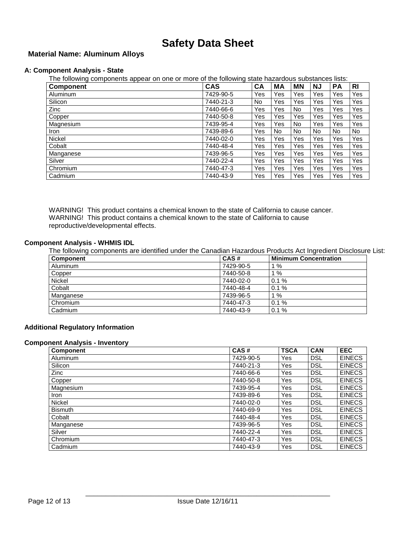## **Material Name: Aluminum Alloys**

### **A: Component Analysis - State**

The following components appear on one or more of the following state hazardous substances lists:

| <b>Component</b> | <b>CAS</b> | CA  | МA  | <b>MN</b> | ΝJ  | PA  | RI  |
|------------------|------------|-----|-----|-----------|-----|-----|-----|
| Aluminum         | 7429-90-5  | Yes | Yes | Yes       | Yes | Yes | Yes |
| Silicon          | 7440-21-3  | No  | Yes | Yes       | Yes | Yes | Yes |
| <b>Zinc</b>      | 7440-66-6  | Yes | Yes | <b>No</b> | Yes | Yes | Yes |
| Copper           | 7440-50-8  | Yes | Yes | Yes       | Yes | Yes | Yes |
| Magnesium        | 7439-95-4  | Yes | Yes | No.       | Yes | Yes | Yes |
| <b>Iron</b>      | 7439-89-6  | Yes | No. | <b>No</b> | No  | No  | No. |
| Nickel           | 7440-02-0  | Yes | Yes | Yes       | Yes | Yes | Yes |
| Cobalt           | 7440-48-4  | Yes | Yes | Yes       | Yes | Yes | Yes |
| Manganese        | 7439-96-5  | Yes | Yes | Yes       | Yes | Yes | Yes |
| Silver           | 7440-22-4  | Yes | Yes | Yes       | Yes | Yes | Yes |
| Chromium         | 7440-47-3  | Yes | Yes | Yes       | Yes | Yes | Yes |
| Cadmium          | 7440-43-9  | Yes | Yes | Yes       | Yes | Yes | Yes |

WARNING! This product contains a chemical known to the state of California to cause cancer. WARNING! This product contains a chemical known to the state of California to cause reproductive/developmental effects.

#### **Component Analysis - WHMIS IDL**

The following components are identified under the Canadian Hazardous Products Act Ingredient Disclosure List:

| <b>Component</b> | CAS#      | <b>Minimum Concentration</b> |
|------------------|-----------|------------------------------|
| Aluminum         | 7429-90-5 | %                            |
| Copper           | 7440-50-8 | %                            |
| Nickel           | 7440-02-0 | 0.1%                         |
| Cobalt           | 7440-48-4 | 0.1%                         |
| Manganese        | 7439-96-5 | %                            |
| Chromium         | 7440-47-3 | 0.1%                         |
| Cadmium          | 7440-43-9 | 0.1%                         |

#### **Additional Regulatory Information**

#### **Component Analysis - Inventory**

| <b>Component</b> | CAS#      | <b>TSCA</b> | <b>CAN</b> | <b>EEC</b>    |
|------------------|-----------|-------------|------------|---------------|
| Aluminum         | 7429-90-5 | Yes         | <b>DSL</b> | <b>EINECS</b> |
| Silicon          | 7440-21-3 | Yes         | <b>DSL</b> | <b>EINECS</b> |
| Zinc             | 7440-66-6 | Yes         | <b>DSL</b> | <b>EINECS</b> |
| Copper           | 7440-50-8 | Yes         | <b>DSL</b> | <b>EINECS</b> |
| Magnesium        | 7439-95-4 | Yes         | <b>DSL</b> | <b>EINECS</b> |
| Iron             | 7439-89-6 | Yes         | <b>DSL</b> | <b>EINECS</b> |
| <b>Nickel</b>    | 7440-02-0 | Yes         | <b>DSL</b> | <b>EINECS</b> |
| <b>Bismuth</b>   | 7440-69-9 | Yes         | <b>DSL</b> | <b>EINECS</b> |
| Cobalt           | 7440-48-4 | Yes         | <b>DSL</b> | <b>EINECS</b> |
| Manganese        | 7439-96-5 | Yes         | <b>DSL</b> | <b>EINECS</b> |
| Silver           | 7440-22-4 | Yes         | <b>DSL</b> | <b>EINECS</b> |
| Chromium         | 7440-47-3 | Yes         | <b>DSL</b> | <b>EINECS</b> |
| Cadmium          | 7440-43-9 | Yes         | <b>DSL</b> | <b>EINECS</b> |